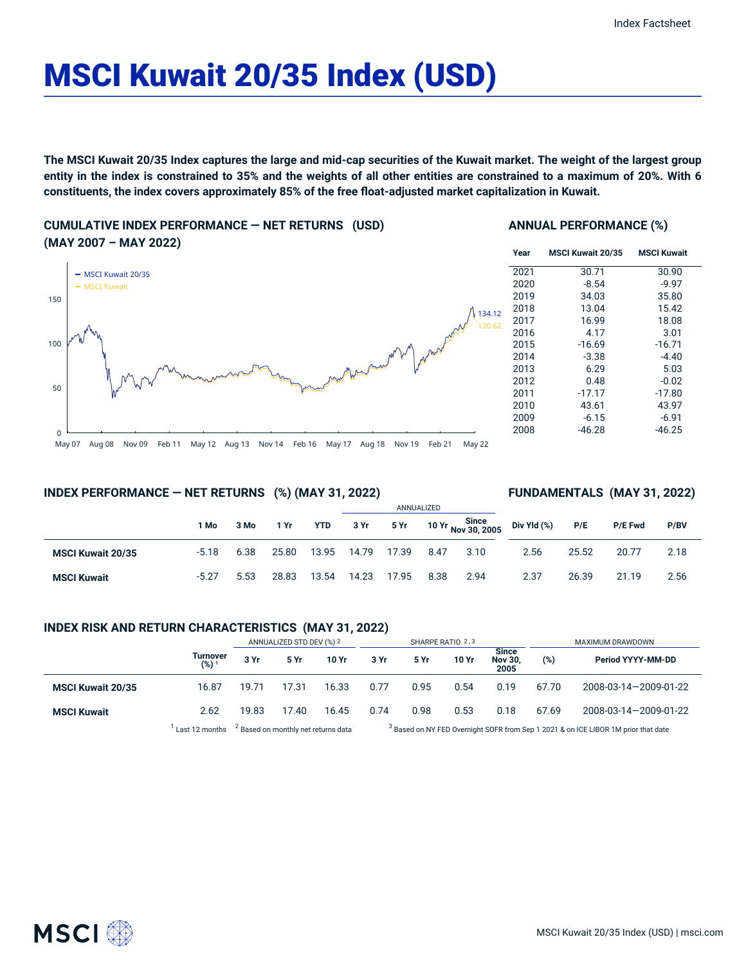# MSCI Kuwait 20/35 Index (USD)

The MSCI Kuwait 20/35 Index captures the large and mid-cap securities of the Kuwait market. The weight of the largest group entity in the index is constrained to 35% and the weights of all other entities are constrained to a maximum of 20%. With 6 **constituents, the index covers approximately 85% of the free float-adjusted market capitalization in Kuwait.**

**CUMULATIVE INDEX PERFORMANCE — NET RETURNS (USD) (MAY 2007 – MAY 2022)**



#### **ANNUAL PERFORMANCE (%)**

| Year | <b>MSCI Kuwait 20/35</b> | <b>MSCI Kuwait</b> |
|------|--------------------------|--------------------|
| 2021 | 30.71                    | 30.90              |
| 2020 | $-8.54$                  | $-9.97$            |
| 2019 | 34.03                    | 35.80              |
| 2018 | 13.04                    | 15.42              |
| 2017 | 16.99                    | 18.08              |
| 2016 | 4.17                     | 3.01               |
| 2015 | $-16.69$                 | $-16.71$           |
| 2014 | $-3.38$                  | $-4.40$            |
| 2013 | 6.29                     | 5.03               |
| 2012 | 0.48                     | $-0.02$            |
| 2011 | $-17.17$                 | $-17.80$           |
| 2010 | 43.61                    | 43.97              |
| 2009 | $-6.15$                  | $-6.91$            |
| 2008 | $-46.28$                 | $-46.25$           |

### **INDEX PERFORMANCE — NET RETURNS (%) (MAY 31, 2022)**

# **FUNDAMENTALS (MAY 31, 2022)**

|                          |         |      |       |       | ANNUALIZED |           |      |      |                                                                  |       |         |      |
|--------------------------|---------|------|-------|-------|------------|-----------|------|------|------------------------------------------------------------------|-------|---------|------|
|                          | 1 Mo    | 3 Mo | 1 Yr  | YTD   | 3 Yr       | 5 Yr 1991 |      |      | 10 Yr $\frac{\text{Since}}{\text{Now } 30, 2005}$ Div Yld $(\%)$ | P/E   | P/E Fwd | P/BV |
| <b>MSCI Kuwait 20/35</b> | $-5.18$ | 6.38 | 25.80 | 13.95 | 14.79      | 17.39     | 8.47 | 3.10 | 2.56                                                             | 25.52 | 20.77   | 2.18 |
| <b>MSCI Kuwait</b>       | $-5.27$ | 5.53 | 28.83 | 13.54 | 14.23      | 17.95     | 8.38 | 2.94 | 2.37                                                             | 26.39 | 21.19   | 2.56 |

#### **INDEX RISK AND RETURN CHARACTERISTICS (MAY 31, 2022)**

|                          |                              | ANNUALIZED STD DEV (%) 2 |                                                |       | SHARPE RATIO 2,3                                                                              |      |       |                                 | MAXIMUM DRAWDOWN |                       |  |
|--------------------------|------------------------------|--------------------------|------------------------------------------------|-------|-----------------------------------------------------------------------------------------------|------|-------|---------------------------------|------------------|-----------------------|--|
|                          | Turnover<br>(%) <sup>1</sup> | 3 Yr                     | 5 Yr                                           | 10 Yr | 3 Yr                                                                                          | 5 Yr | 10 Yr | Since<br><b>Nov 30.</b><br>2005 | (%)              | Period YYYY-MM-DD     |  |
| <b>MSCI Kuwait 20/35</b> | 16.87                        | 19.71                    | 17.31                                          | 16.33 | 0.77                                                                                          | 0.95 | 0.54  | 0.19                            | 67.70            | 2008-03-14-2009-01-22 |  |
| <b>MSCI Kuwait</b>       | 2.62                         | 19.83                    | 17.40                                          | 16.45 | 0.74                                                                                          | 0.98 | 0.53  | 0.18                            | 67.69            | 2008-03-14-2009-01-22 |  |
|                          | Last 12 months               |                          | <sup>2</sup> Based on monthly net returns data |       | <sup>3</sup> Based on NY FED Overnight SOFR from Sep 1 2021 & on ICE LIBOR 1M prior that date |      |       |                                 |                  |                       |  |

Based on NY FED Overnight SOFR from Sep 1 2021 & on ICE LIBOR 1M prior that date

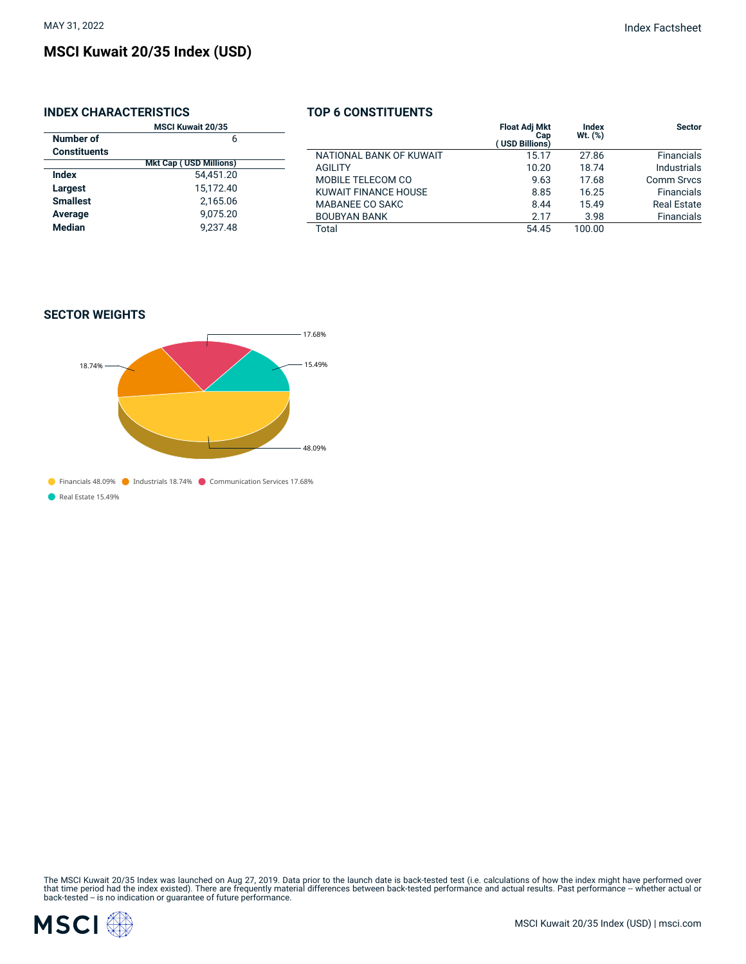# **INDEX CHARACTERISTICS**

| <b>MSCI Kuwait 20/35</b> |                               |  |  |  |
|--------------------------|-------------------------------|--|--|--|
| Number of                | 6                             |  |  |  |
| <b>Constituents</b>      |                               |  |  |  |
|                          | <b>Mkt Cap (USD Millions)</b> |  |  |  |
| Index                    | 54,451.20                     |  |  |  |
| Largest                  | 15.172.40                     |  |  |  |
| <b>Smallest</b>          | 2.165.06                      |  |  |  |
| Average                  | 9,075.20                      |  |  |  |
| <b>Median</b>            | 9.237.48                      |  |  |  |
|                          |                               |  |  |  |

# **TOP 6 CONSTITUENTS**

| <b>Sector</b>      | Index<br>$Wt.$ $(\%)$ | <b>Float Adj Mkt</b><br>Cap<br>(USD Billions) |                         |  |
|--------------------|-----------------------|-----------------------------------------------|-------------------------|--|
| <b>Financials</b>  | 27.86                 | 15.17                                         | NATIONAL BANK OF KUWAIT |  |
| <b>Industrials</b> | 18.74                 | 10.20                                         | <b>AGILITY</b>          |  |
| <b>Comm Srvcs</b>  | 17.68                 | 9.63                                          | MOBILE TELECOM CO       |  |
| <b>Financials</b>  | 16.25                 | 8.85                                          | KUWAIT FINANCE HOUSE    |  |
| <b>Real Estate</b> | 15.49                 | 8.44                                          | MABANEE CO SAKC         |  |
| <b>Financials</b>  | 3.98                  | 2.17                                          | <b>BOUBYAN BANK</b>     |  |
|                    | 100.00                | 54.45                                         | Total                   |  |
|                    |                       |                                               |                         |  |

# **SECTOR WEIGHTS**



Financials 48.09% Industrials 18.74% Communication Services 17.68%

Real Estate 15.49%

The MSCI Kuwait 20/35 Index was launched on Aug 27, 2019. Data prior to the launch date is back-tested test (i.e. calculations of how the index might have performed over<br>that time period had the index existed). There are f